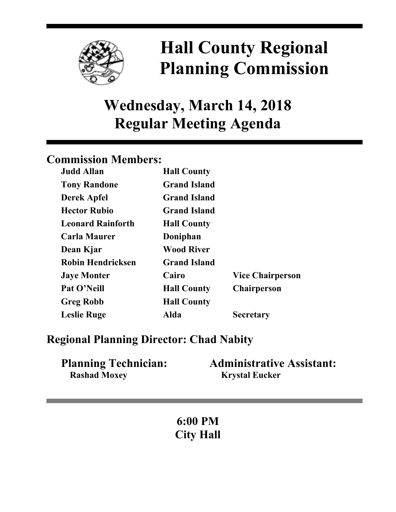

# **Hall County Regional Planning Commission**

## **Wednesday, March 14, 2018 Regular Meeting Agenda**

## **Commission Members:**

| <b>Judd Allan</b>        | <b>Hall County</b>  |                         |
|--------------------------|---------------------|-------------------------|
| <b>Tony Randone</b>      | <b>Grand Island</b> |                         |
| <b>Derek Apfel</b>       | <b>Grand Island</b> |                         |
| <b>Hector Rubio</b>      | <b>Grand Island</b> |                         |
| <b>Leonard Rainforth</b> | <b>Hall County</b>  |                         |
| <b>Carla Maurer</b>      | Doniphan            |                         |
| Dean Kjar                | <b>Wood River</b>   |                         |
| <b>Robin Hendricksen</b> | <b>Grand Island</b> |                         |
| <b>Jaye Monter</b>       | Cairo               | <b>Vice Chairperson</b> |
| Pat O'Neill              | <b>Hall County</b>  | <b>Chairperson</b>      |
| <b>Greg Robb</b>         | <b>Hall County</b>  |                         |
| <b>Leslie Ruge</b>       | Alda                | <b>Secretary</b>        |

### **Regional Planning Director: Chad Nabity**

| <b>Planning Technician:</b> | <b>Administrative Assistant:</b> |
|-----------------------------|----------------------------------|
| <b>Rashad Moxey</b>         | <b>Krystal Eucker</b>            |

**6:00 PM City Hall**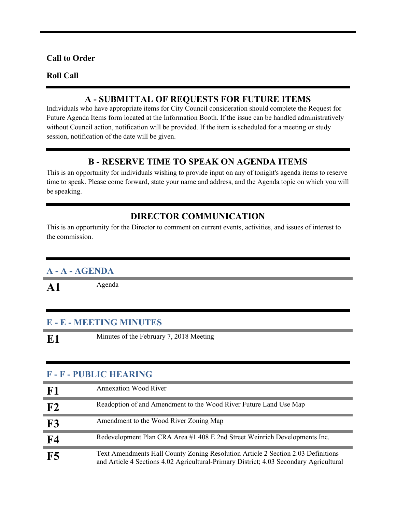#### **Call to Order**

#### **Roll Call**

#### **A - SUBMITTAL OF REQUESTS FOR FUTURE ITEMS**

Individuals who have appropriate items for City Council consideration should complete the Request for Future Agenda Items form located at the Information Booth. If the issue can be handled administratively without Council action, notification will be provided. If the item is scheduled for a meeting or study session, notification of the date will be given.

#### **B - RESERVE TIME TO SPEAK ON AGENDA ITEMS**

This is an opportunity for individuals wishing to provide input on any of tonight's agenda items to reserve time to speak. Please come forward, state your name and address, and the Agenda topic on which you will be speaking.

#### **DIRECTOR COMMUNICATION**

This is an opportunity for the Director to comment on current events, activities, and issues of interest to the commission.

#### **A - A - AGENDA**

A1 Agenda

#### **E - E - MEETING MINUTES**

**E1** Minutes of the February 7, 2018 Meeting

#### **F - F - PUBLIC HEARING**

| F1        | <b>Annexation Wood River</b>                                                                                                                                               |
|-----------|----------------------------------------------------------------------------------------------------------------------------------------------------------------------------|
| F2        | Readoption of and Amendment to the Wood River Future Land Use Map                                                                                                          |
| F3        | Amendment to the Wood River Zoning Map                                                                                                                                     |
| <b>F4</b> | Redevelopment Plan CRA Area #1 408 E 2nd Street Weinrich Developments Inc.                                                                                                 |
| F5        | Text Amendments Hall County Zoning Resolution Article 2 Section 2.03 Definitions<br>and Article 4 Sections 4.02 Agricultural-Primary District; 4.03 Secondary Agricultural |